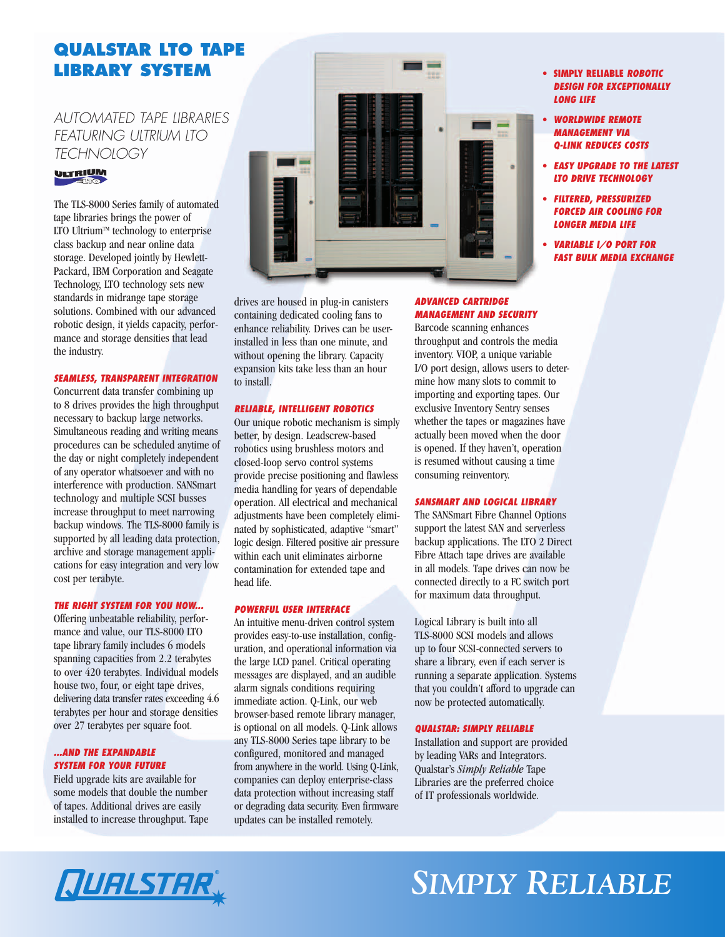## **QUALSTAR LTO TAPE LIBRARY SYSTEM**

## *AUTOMATED TAPE LIBRARIES FEATURING ULTRIUM LTO TECHNOLOGY*



The TLS-8000 Series family of automated tape libraries brings the power of LTO Ultrium™ technology to enterprise class backup and near online data storage. Developed jointly by Hewlett-Packard, IBM Corporation and Seagate Technology, LTO technology sets new standards in midrange tape storage solutions. Combined with our advanced robotic design, it yields capacity, performance and storage densities that lead the industry.

## *SEAMLESS, TRANSPARENT INTEGRATION*

Concurrent data transfer combining up to 8 drives provides the high throughput necessary to backup large networks. Simultaneous reading and writing means procedures can be scheduled anytime of the day or night completely independent of any operator whatsoever and with no interference with production. SANSmart technology and multiple SCSI busses increase throughput to meet narrowing backup windows. The TLS-8000 family is supported by all leading data protection, archive and storage management applications for easy integration and very low cost per terabyte.

#### *THE RIGHT SYSTEM FOR YOU NOW...*

Offering unbeatable reliability, performance and value, our TLS-8000 LTO tape library family includes 6 models spanning capacities from 2.2 terabytes to over 420 terabytes. Individual models house two, four, or eight tape drives, delivering data transfer rates exceeding 4.6 terabytes per hour and storage densities over 27 terabytes per square foot.

## *...AND THE EXPANDABLE SYSTEM FOR YOUR FUTURE*

Field upgrade kits are available for some models that double the number of tapes. Additional drives are easily installed to increase throughput. Tape



drives are housed in plug-in canisters containing dedicated cooling fans to enhance reliability. Drives can be userinstalled in less than one minute, and without opening the library. Capacity expansion kits take less than an hour to install.

### *RELIABLE, INTELLIGENT ROBOTICS*

Our unique robotic mechanism is simply better, by design. Leadscrew-based robotics using brushless motors and closed-loop servo control systems provide precise positioning and flawless media handling for years of dependable operation. All electrical and mechanical adjustments have been completely eliminated by sophisticated, adaptive "smart" logic design. Filtered positive air pressure within each unit eliminates airborne contamination for extended tape and head life.

#### *POWERFUL USER INTERFACE*

An intuitive menu-driven control system provides easy-to-use installation, configuration, and operational information via the large LCD panel. Critical operating messages are displayed, and an audible alarm signals conditions requiring immediate action. Q-Link, our web browser-based remote library manager, is optional on all models. Q-Link allows any TLS-8000 Series tape library to be configured, monitored and managed from anywhere in the world. Using Q-Link, companies can deploy enterprise-class data protection without increasing staff or degrading data security. Even firmware updates can be installed remotely.

## *ADVANCED CARTRIDGE MANAGEMENT AND SECURITY*

Barcode scanning enhances throughput and controls the media inventory. VIOP, a unique variable I/O port design, allows users to determine how many slots to commit to importing and exporting tapes. Our exclusive Inventory Sentry senses whether the tapes or magazines have actually been moved when the door is opened. If they haven't, operation is resumed without causing a time consuming reinventory.

#### *SANSMART AND LOGICAL LIBRARY*

The SANSmart Fibre Channel Options support the latest SAN and serverless backup applications. The LTO 2 Direct Fibre Attach tape drives are available in all models. Tape drives can now be connected directly to a FC switch port for maximum data throughput.

Logical Library is built into all TLS-8000 SCSI models and allows up to four SCSI-connected servers to share a library, even if each server is running a separate application. Systems that you couldn't afford to upgrade can now be protected automatically.

## *QUALSTAR: SIMPLY RELIABLE*

Installation and support are provided by leading VARs and Integrators. Qualstar's *Simply Reliable* Tape Libraries are the preferred choice of IT professionals worldwide.

## **• SIMPLY RELIABLE** *ROBOTIC DESIGN FOR EXCEPTIONALLY LONG LIFE*

- **•** *WORLDWIDE REMOTE MANAGEMENT VIA Q-LINK REDUCES COSTS*
- **•** *EASY UPGRADE TO THE LATEST LTO DRIVE TECHNOLOGY*
- **•** *FILTERED, PRESSURIZED FORCED AIR COOLING FOR LONGER MEDIA LIFE*
- **•** *VARIABLE I/O PORT FOR FAST BULK MEDIA EXCHANGE*

## *SIMPLY RELIABLE*